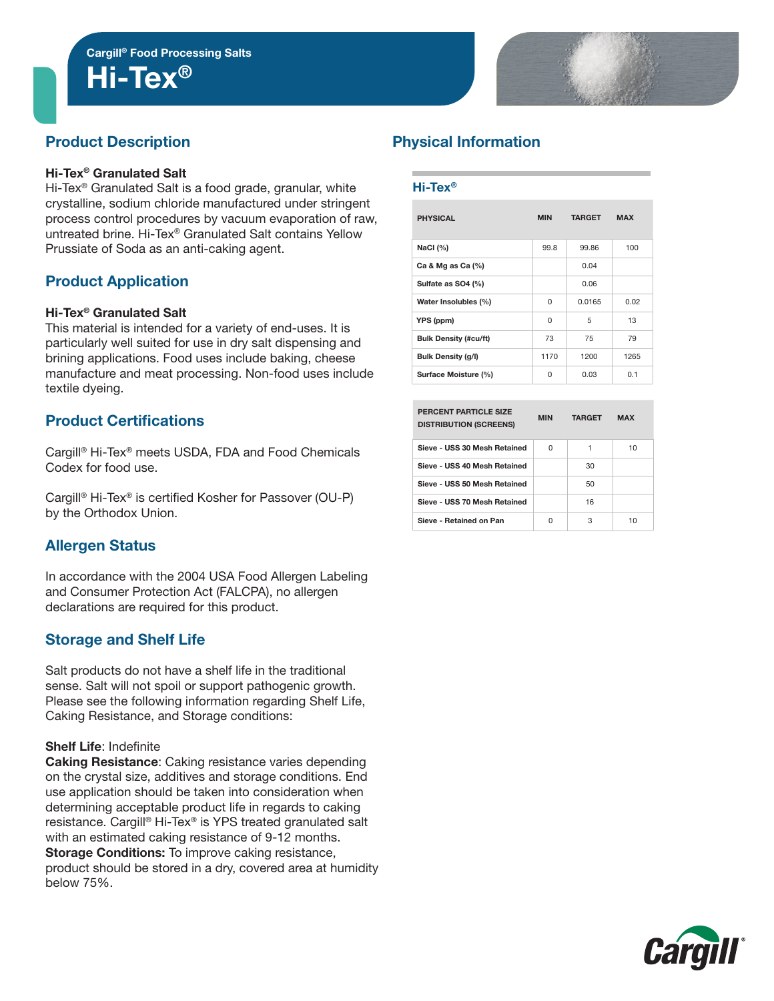Hi-Tex®

# Product Description

### Hi-Tex® Granulated Salt

Hi-Tex<sup>®</sup> Granulated Salt is a food grade, granular, white crystalline, sodium chloride manufactured under stringent process control procedures by vacuum evaporation of raw, untreated brine. Hi-Tex® Granulated Salt contains Yellow Prussiate of Soda as an anti-caking agent.

## Product Application

### Hi-Tex® Granulated Salt

This material is intended for a variety of end-uses. It is particularly well suited for use in dry salt dispensing and brining applications. Food uses include baking, cheese manufacture and meat processing. Non-food uses include textile dyeing.

## Product Certifications

Cargill® Hi-Tex® meets USDA, FDA and Food Chemicals Codex for food use.

Cargill® Hi-Tex® is certified Kosher for Passover (OU-P) by the Orthodox Union.

## Allergen Status

In accordance with the 2004 USA Food Allergen Labeling and Consumer Protection Act (FALCPA), no allergen declarations are required for this product.

## Storage and Shelf Life

Salt products do not have a shelf life in the traditional sense. Salt will not spoil or support pathogenic growth. Please see the following information regarding Shelf Life, Caking Resistance, and Storage conditions:

#### Shelf Life: Indefinite

Caking Resistance: Caking resistance varies depending on the crystal size, additives and storage conditions. End use application should be taken into consideration when determining acceptable product life in regards to caking resistance. Cargill® Hi-Tex® is YPS treated granulated salt with an estimated caking resistance of 9-12 months. Storage Conditions: To improve caking resistance, product should be stored in a dry, covered area at humidity below 75%.

# Physical Information

#### Hi-Tex®

| <b>PHYSICAL</b>              | <b>MIN</b> | <b>TARGET</b> | <b>MAX</b> |
|------------------------------|------------|---------------|------------|
| NaCl $(%)$                   | 99.8       | 99.86         | 100        |
| Ca & Mg as Ca $(%)$          |            | 0.04          |            |
| Sulfate as SO4 (%)           |            | 0.06          |            |
| Water Insolubles (%)         | $\Omega$   | 0.0165        | 0.02       |
| YPS (ppm)                    | $\Omega$   | 5             | 13         |
| <b>Bulk Density (#cu/ft)</b> | 73         | 75            | 79         |
| <b>Bulk Density (g/l)</b>    | 1170       | 1200          | 1265       |
| Surface Moisture (%)         | O          | 0.03          | 0.1        |

| PERCENT PARTICLE SIZE<br><b>DISTRIBUTION (SCREENS)</b> | <b>MIN</b> | <b>TARGET</b> | <b>MAX</b> |
|--------------------------------------------------------|------------|---------------|------------|
| Sieve - USS 30 Mesh Retained                           | U          |               | 10         |
| Sieve - USS 40 Mesh Retained                           |            | 30            |            |
| Sieve - USS 50 Mesh Retained                           |            | 50            |            |
| Sieve - USS 70 Mesh Retained                           |            | 16            |            |
| Sieve - Retained on Pan                                | U          | З             | 10         |